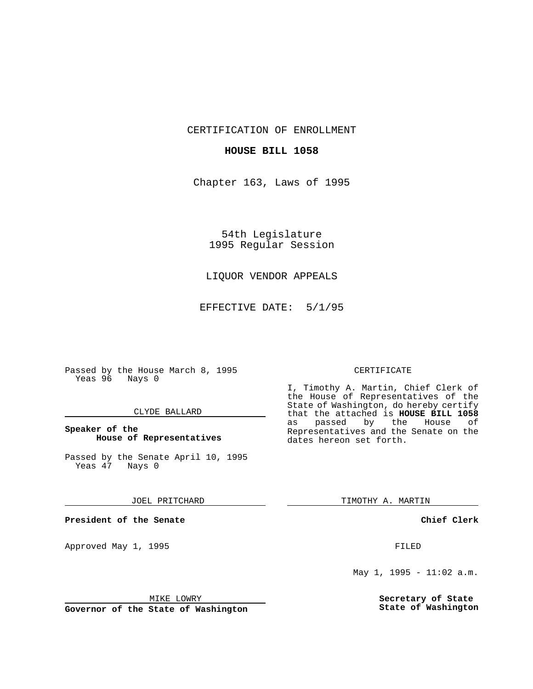CERTIFICATION OF ENROLLMENT

## **HOUSE BILL 1058**

Chapter 163, Laws of 1995

54th Legislature 1995 Regular Session

## LIQUOR VENDOR APPEALS

EFFECTIVE DATE: 5/1/95

Passed by the House March 8, 1995 Yeas 96 Nays 0

## CLYDE BALLARD

## **Speaker of the House of Representatives**

Passed by the Senate April 10, 1995<br>Yeas 47 Nays 0 Yeas 47

#### JOEL PRITCHARD

**President of the Senate**

Approved May 1, 1995 **FILED** 

#### MIKE LOWRY

**Governor of the State of Washington**

#### CERTIFICATE

I, Timothy A. Martin, Chief Clerk of the House of Representatives of the State of Washington, do hereby certify that the attached is **HOUSE BILL 1058** as passed by the House of Representatives and the Senate on the dates hereon set forth.

TIMOTHY A. MARTIN

## **Chief Clerk**

May 1, 1995 - 11:02 a.m.

**Secretary of State State of Washington**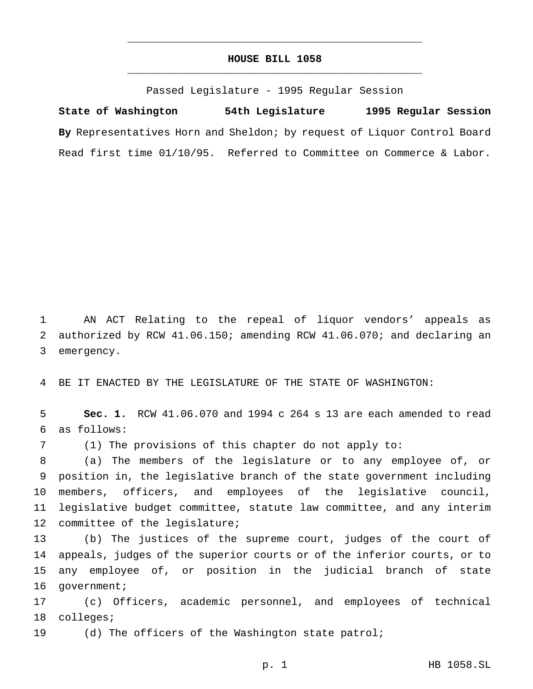# **HOUSE BILL 1058** \_\_\_\_\_\_\_\_\_\_\_\_\_\_\_\_\_\_\_\_\_\_\_\_\_\_\_\_\_\_\_\_\_\_\_\_\_\_\_\_\_\_\_\_\_\_\_

\_\_\_\_\_\_\_\_\_\_\_\_\_\_\_\_\_\_\_\_\_\_\_\_\_\_\_\_\_\_\_\_\_\_\_\_\_\_\_\_\_\_\_\_\_\_\_

Passed Legislature - 1995 Regular Session

**State of Washington 54th Legislature 1995 Regular Session By** Representatives Horn and Sheldon; by request of Liquor Control Board Read first time 01/10/95. Referred to Committee on Commerce & Labor.

 AN ACT Relating to the repeal of liquor vendors' appeals as authorized by RCW 41.06.150; amending RCW 41.06.070; and declaring an emergency.

BE IT ENACTED BY THE LEGISLATURE OF THE STATE OF WASHINGTON:

 **Sec. 1.** RCW 41.06.070 and 1994 c 264 s 13 are each amended to read as follows:

(1) The provisions of this chapter do not apply to:

 (a) The members of the legislature or to any employee of, or position in, the legislative branch of the state government including members, officers, and employees of the legislative council, legislative budget committee, statute law committee, and any interim committee of the legislature;

 (b) The justices of the supreme court, judges of the court of appeals, judges of the superior courts or of the inferior courts, or to any employee of, or position in the judicial branch of state 16 government;

 (c) Officers, academic personnel, and employees of technical colleges;

(d) The officers of the Washington state patrol;

p. 1 HB 1058.SL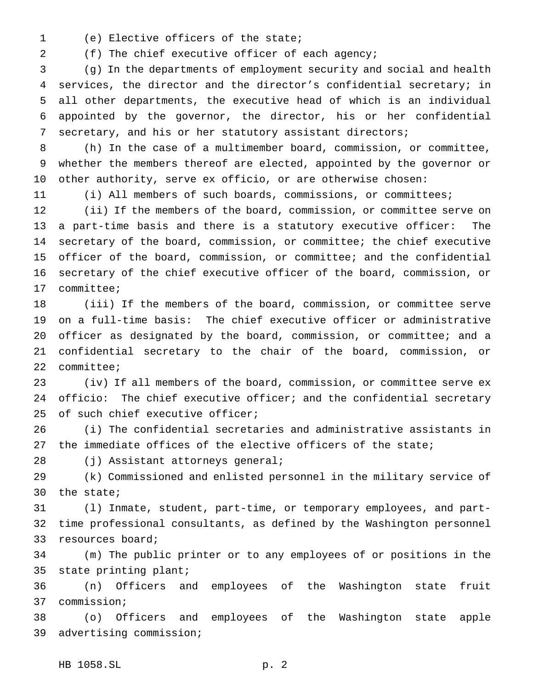(e) Elective officers of the state;

(f) The chief executive officer of each agency;

 (g) In the departments of employment security and social and health services, the director and the director's confidential secretary; in all other departments, the executive head of which is an individual appointed by the governor, the director, his or her confidential secretary, and his or her statutory assistant directors;

 (h) In the case of a multimember board, commission, or committee, whether the members thereof are elected, appointed by the governor or other authority, serve ex officio, or are otherwise chosen:

(i) All members of such boards, commissions, or committees;

 (ii) If the members of the board, commission, or committee serve on a part-time basis and there is a statutory executive officer: The secretary of the board, commission, or committee; the chief executive officer of the board, commission, or committee; and the confidential secretary of the chief executive officer of the board, commission, or committee;

 (iii) If the members of the board, commission, or committee serve on a full-time basis: The chief executive officer or administrative officer as designated by the board, commission, or committee; and a confidential secretary to the chair of the board, commission, or committee;

 (iv) If all members of the board, commission, or committee serve ex officio: The chief executive officer; and the confidential secretary 25 of such chief executive officer;

 (i) The confidential secretaries and administrative assistants in 27 the immediate offices of the elective officers of the state;

(j) Assistant attorneys general;

 (k) Commissioned and enlisted personnel in the military service of the state;

 (l) Inmate, student, part-time, or temporary employees, and part- time professional consultants, as defined by the Washington personnel resources board;

 (m) The public printer or to any employees of or positions in the state printing plant;

 (n) Officers and employees of the Washington state fruit commission;

 (o) Officers and employees of the Washington state apple advertising commission;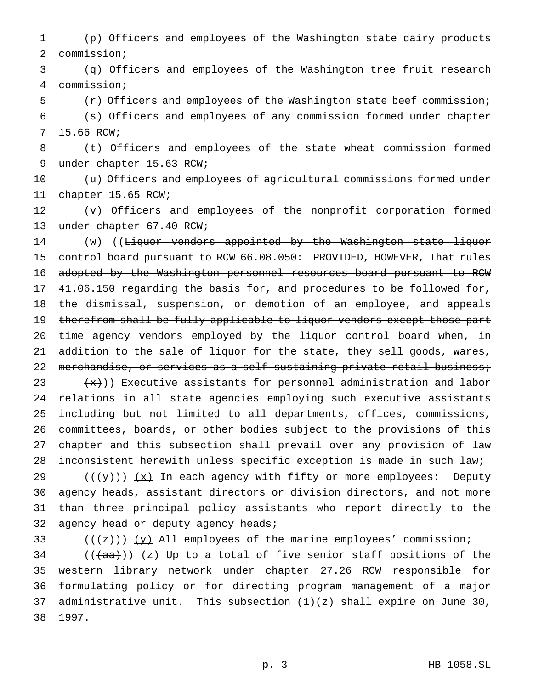(p) Officers and employees of the Washington state dairy products commission;

 (q) Officers and employees of the Washington tree fruit research commission;

 (r) Officers and employees of the Washington state beef commission; (s) Officers and employees of any commission formed under chapter 15.66 RCW;

 (t) Officers and employees of the state wheat commission formed under chapter 15.63 RCW;

 (u) Officers and employees of agricultural commissions formed under chapter 15.65 RCW;

 (v) Officers and employees of the nonprofit corporation formed under chapter 67.40 RCW;

14 (w) ((Liquor vendors appointed by the Washington state liquor 15 control board pursuant to RCW 66.08.050: PROVIDED, HOWEVER, That rules adopted by the Washington personnel resources board pursuant to RCW 41.06.150 regarding the basis for, and procedures to be followed for, the dismissal, suspension, or demotion of an employee, and appeals 19 therefrom shall be fully applicable to liquor vendors except those part 20 time agency vendors employed by the liquor control board when, in 21 addition to the sale of liquor for the state, they sell goods, wares, 22 merchandise, or services as a self-sustaining private retail business; (x))) Executive assistants for personnel administration and labor relations in all state agencies employing such executive assistants including but not limited to all departments, offices, commissions, committees, boards, or other bodies subject to the provisions of this chapter and this subsection shall prevail over any provision of law inconsistent herewith unless specific exception is made in such law;

29 ( $(\frac{1}{2})$ )  $(x)$  In each agency with fifty or more employees: Deputy agency heads, assistant directors or division directors, and not more than three principal policy assistants who report directly to the 32 agency head or deputy agency heads;

33  $((+2))$   $(y)$  All employees of the marine employees' commission;

 (( $(a^{2})$ ) (z) Up to a total of five senior staff positions of the western library network under chapter 27.26 RCW responsible for formulating policy or for directing program management of a major 37 administrative unit. This subsection  $(1)(z)$  shall expire on June 30, 1997.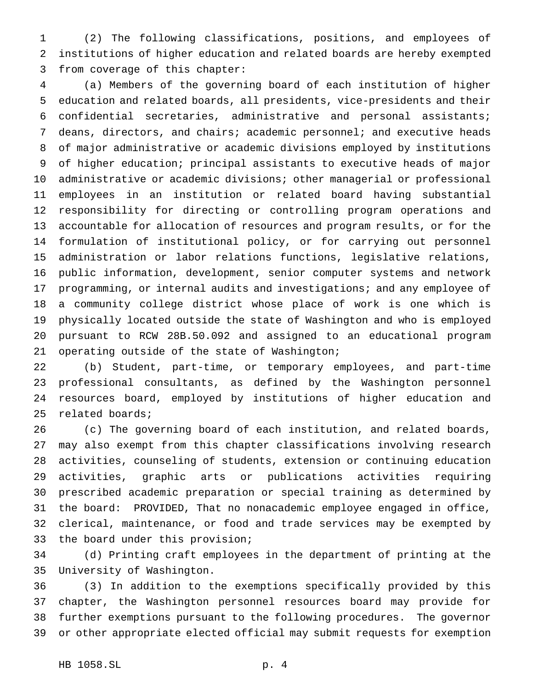(2) The following classifications, positions, and employees of institutions of higher education and related boards are hereby exempted from coverage of this chapter:

 (a) Members of the governing board of each institution of higher education and related boards, all presidents, vice-presidents and their confidential secretaries, administrative and personal assistants; deans, directors, and chairs; academic personnel; and executive heads of major administrative or academic divisions employed by institutions of higher education; principal assistants to executive heads of major administrative or academic divisions; other managerial or professional employees in an institution or related board having substantial responsibility for directing or controlling program operations and accountable for allocation of resources and program results, or for the formulation of institutional policy, or for carrying out personnel administration or labor relations functions, legislative relations, public information, development, senior computer systems and network programming, or internal audits and investigations; and any employee of a community college district whose place of work is one which is physically located outside the state of Washington and who is employed pursuant to RCW 28B.50.092 and assigned to an educational program operating outside of the state of Washington;

 (b) Student, part-time, or temporary employees, and part-time professional consultants, as defined by the Washington personnel resources board, employed by institutions of higher education and related boards;

 (c) The governing board of each institution, and related boards, may also exempt from this chapter classifications involving research activities, counseling of students, extension or continuing education activities, graphic arts or publications activities requiring prescribed academic preparation or special training as determined by the board: PROVIDED, That no nonacademic employee engaged in office, clerical, maintenance, or food and trade services may be exempted by the board under this provision;

 (d) Printing craft employees in the department of printing at the University of Washington.

 (3) In addition to the exemptions specifically provided by this chapter, the Washington personnel resources board may provide for further exemptions pursuant to the following procedures. The governor or other appropriate elected official may submit requests for exemption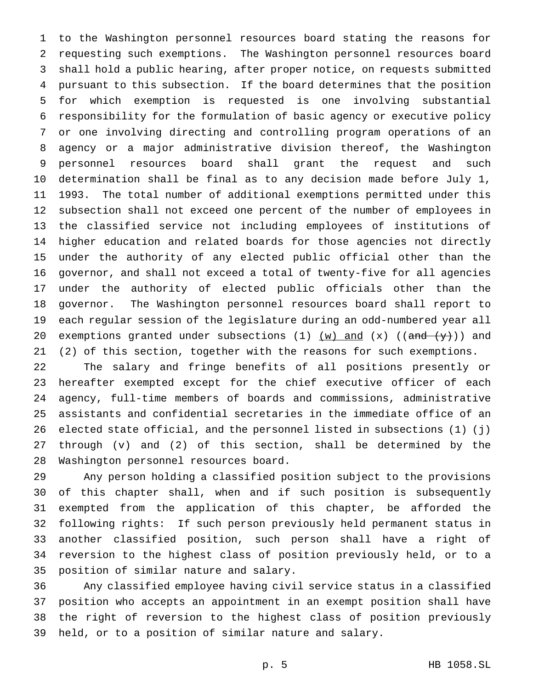to the Washington personnel resources board stating the reasons for requesting such exemptions. The Washington personnel resources board shall hold a public hearing, after proper notice, on requests submitted pursuant to this subsection. If the board determines that the position for which exemption is requested is one involving substantial responsibility for the formulation of basic agency or executive policy or one involving directing and controlling program operations of an agency or a major administrative division thereof, the Washington personnel resources board shall grant the request and such determination shall be final as to any decision made before July 1, 1993. The total number of additional exemptions permitted under this subsection shall not exceed one percent of the number of employees in the classified service not including employees of institutions of higher education and related boards for those agencies not directly under the authority of any elected public official other than the governor, and shall not exceed a total of twenty-five for all agencies under the authority of elected public officials other than the governor. The Washington personnel resources board shall report to each regular session of the legislature during an odd-numbered year all 20 exemptions granted under subsections (1)  $(w)$  and  $(x)$  ((and  $(y+)$ ) and (2) of this section, together with the reasons for such exemptions.

 The salary and fringe benefits of all positions presently or hereafter exempted except for the chief executive officer of each agency, full-time members of boards and commissions, administrative assistants and confidential secretaries in the immediate office of an elected state official, and the personnel listed in subsections (1) (j) through (v) and (2) of this section, shall be determined by the Washington personnel resources board.

 Any person holding a classified position subject to the provisions of this chapter shall, when and if such position is subsequently exempted from the application of this chapter, be afforded the following rights: If such person previously held permanent status in another classified position, such person shall have a right of reversion to the highest class of position previously held, or to a position of similar nature and salary.

 Any classified employee having civil service status in a classified position who accepts an appointment in an exempt position shall have the right of reversion to the highest class of position previously held, or to a position of similar nature and salary.